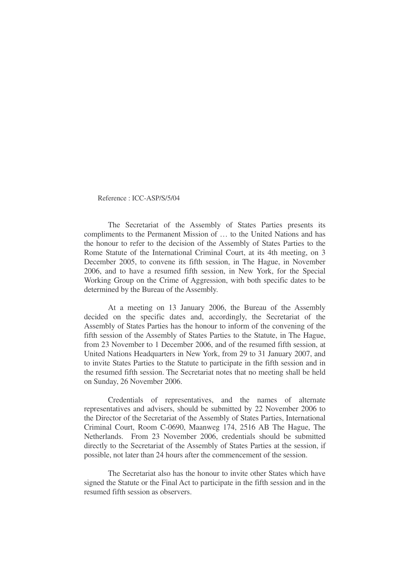Reference : ICC-ASP/S/5/04

The Secretariat of the Assembly of States Parties presents its compliments to the Permanent Mission of … to the United Nations and has the honour to refer to the decision of the Assembly of States Parties to the Rome Statute of the International Criminal Court, at its 4th meeting, on 3 December 2005, to convene its fifth session, in The Hague, in November 2006, and to have a resumed fifth session, in New York, for the Special Working Group on the Crime of Aggression, with both specific dates to be determined by the Bureau of the Assembly.

At a meeting on 13 January 2006, the Bureau of the Assembly decided on the specific dates and, accordingly, the Secretariat of the Assembly of States Parties has the honour to inform of the convening of the fifth session of the Assembly of States Parties to the Statute, in The Hague, from 23 November to 1 December 2006, and of the resumed fifth session, at United Nations Headquarters in New York, from 29 to 31 January 2007, and to invite States Parties to the Statute to participate in the fifth session and in the resumed fifth session. The Secretariat notes that no meeting shall be held on Sunday, 26 November 2006.

Credentials of representatives, and the names of alternate representatives and advisers, should be submitted by 22 November 2006 to the Director of the Secretariat of the Assembly of States Parties, International Criminal Court, Room C-0690, Maanweg 174, 2516 AB The Hague, The Netherlands. From 23 November 2006, credentials should be submitted directly to the Secretariat of the Assembly of States Parties at the session, if possible, not later than 24 hours after the commencement of the session.

The Secretariat also has the honour to invite other States which have signed the Statute or the Final Act to participate in the fifth session and in the resumed fifth session as observers.